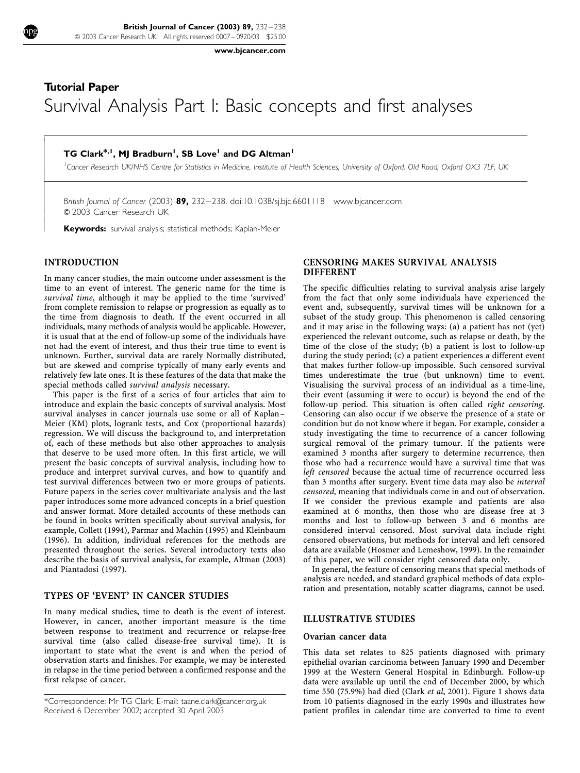www.bjcancer.com

# Tutorial Paper Survival Analysis Part I: Basic concepts and first analyses

# TG Clark<sup>\*, 1</sup>, MJ Bradburn<sup>1</sup>, SB Love<sup>1</sup> and DG Altman<sup>1</sup>

<sup>1</sup>Cancer Research UK/NHS Centre for Statistics in Medicine, Institute of Health Sciences, University of Oxford, Old Road, Oxford OX3 7LF, UK

British Journal of Cancer (2003) 89, 232-238. doi:10.1038/sj.bjc.6601118 www.bjcancer.com & 2003 Cancer Research UK

Keywords: survival analysis; statistical methods; Kaplan-Meier

# INTRODUCTION

í ſ I ł

ļ ľ I I I

In many cancer studies, the main outcome under assessment is the time to an event of interest. The generic name for the time is survival time, although it may be applied to the time 'survived' from complete remission to relapse or progression as equally as to the time from diagnosis to death. If the event occurred in all individuals, many methods of analysis would be applicable. However, it is usual that at the end of follow-up some of the individuals have not had the event of interest, and thus their true time to event is unknown. Further, survival data are rarely Normally distributed, but are skewed and comprise typically of many early events and relatively few late ones. It is these features of the data that make the special methods called survival analysis necessary.

This paper is the first of a series of four articles that aim to introduce and explain the basic concepts of survival analysis. Most survival analyses in cancer journals use some or all of Kaplan– Meier (KM) plots, logrank tests, and Cox (proportional hazards) regression. We will discuss the background to, and interpretation of, each of these methods but also other approaches to analysis that deserve to be used more often. In this first article, we will present the basic concepts of survival analysis, including how to produce and interpret survival curves, and how to quantify and test survival differences between two or more groups of patients. Future papers in the series cover multivariate analysis and the last paper introduces some more advanced concepts in a brief question and answer format. More detailed accounts of these methods can be found in books written specifically about survival analysis, for example, Collett (1994), Parmar and Machin (1995) and Kleinbaum (1996). In addition, individual references for the methods are presented throughout the series. Several introductory texts also describe the basis of survival analysis, for example, Altman (2003) and Piantadosi (1997).

# TYPES OF 'EVENT' IN CANCER STUDIES

In many medical studies, time to death is the event of interest. However, in cancer, another important measure is the time between response to treatment and recurrence or relapse-free survival time (also called disease-free survival time). It is important to state what the event is and when the period of observation starts and finishes. For example, we may be interested in relapse in the time period between a confirmed response and the first relapse of cancer.

## CENSORING MAKES SURVIVAL ANALYSIS DIFFERENT

The specific difficulties relating to survival analysis arise largely from the fact that only some individuals have experienced the event and, subsequently, survival times will be unknown for a subset of the study group. This phenomenon is called censoring and it may arise in the following ways: (a) a patient has not (yet) experienced the relevant outcome, such as relapse or death, by the time of the close of the study; (b) a patient is lost to follow-up during the study period; (c) a patient experiences a different event that makes further follow-up impossible. Such censored survival times underestimate the true (but unknown) time to event. Visualising the survival process of an individual as a time-line, their event (assuming it were to occur) is beyond the end of the follow-up period. This situation is often called right censoring. Censoring can also occur if we observe the presence of a state or condition but do not know where it began. For example, consider a study investigating the time to recurrence of a cancer following surgical removal of the primary tumour. If the patients were examined 3 months after surgery to determine recurrence, then those who had a recurrence would have a survival time that was left censored because the actual time of recurrence occurred less than 3 months after surgery. Event time data may also be interval censored, meaning that individuals come in and out of observation. If we consider the previous example and patients are also examined at 6 months, then those who are disease free at 3 months and lost to follow-up between 3 and 6 months are considered interval censored. Most survival data include right censored observations, but methods for interval and left censored data are available (Hosmer and Lemeshow, 1999). In the remainder of this paper, we will consider right censored data only.

In general, the feature of censoring means that special methods of analysis are needed, and standard graphical methods of data exploration and presentation, notably scatter diagrams, cannot be used.

# ILLUSTRATIVE STUDIES

#### Ovarian cancer data

This data set relates to 825 patients diagnosed with primary epithelial ovarian carcinoma between January 1990 and December 1999 at the Western General Hospital in Edinburgh. Follow-up data were available up until the end of December 2000, by which time 550 (75.9%) had died (Clark et al, 2001). Figure 1 shows data from 10 patients diagnosed in the early 1990s and illustrates how Received 6 December 2002; accepted 30 April 2003 patient profiles in calendar time are converted to time to event

<sup>\*</sup>Correspondence: Mr TG Clark; E-mail: taane.clark@cancer.org.uk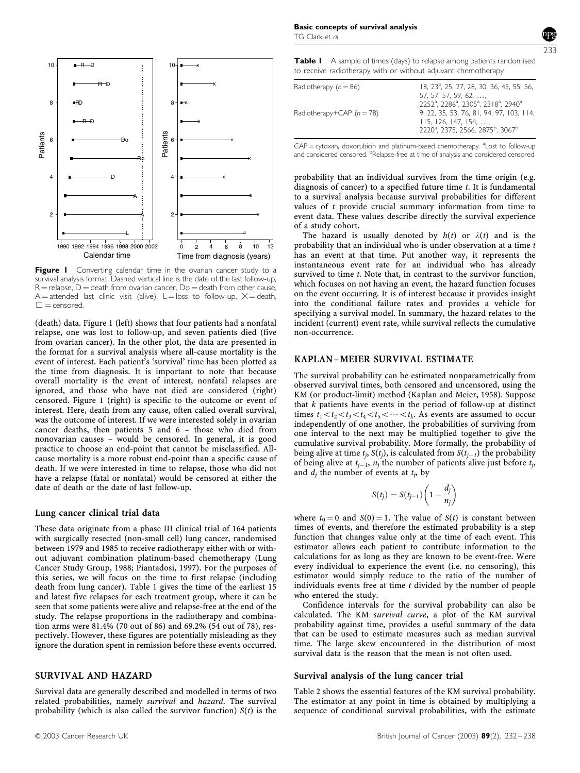

Figure I Converting calendar time in the ovarian cancer study to a survival analysis format. Dashed vertical line is the date of the last follow-up,  $R$  = relapse, D = death from ovarian cancer, Do = death from other cause, A = attended last clinic visit (alive),  $L =$  loss to follow-up,  $X =$  death,  $\Box$  censored.

(death) data. Figure 1 (left) shows that four patients had a nonfatal relapse, one was lost to follow-up, and seven patients died (five from ovarian cancer). In the other plot, the data are presented in the format for a survival analysis where all-cause mortality is the event of interest. Each patient's 'survival' time has been plotted as the time from diagnosis. It is important to note that because overall mortality is the event of interest, nonfatal relapses are ignored, and those who have not died are considered (right) censored. Figure 1 (right) is specific to the outcome or event of interest. Here, death from any cause, often called overall survival, was the outcome of interest. If we were interested solely in ovarian cancer deaths, then patients 5 and 6 – those who died from nonovarian causes – would be censored. In general, it is good practice to choose an end-point that cannot be misclassified. Allcause mortality is a more robust end-point than a specific cause of death. If we were interested in time to relapse, those who did not have a relapse (fatal or nonfatal) would be censored at either the date of death or the date of last follow-up.

#### Lung cancer clinical trial data

These data originate from a phase III clinical trial of 164 patients with surgically resected (non-small cell) lung cancer, randomised between 1979 and 1985 to receive radiotherapy either with or without adjuvant combination platinum-based chemotherapy (Lung Cancer Study Group, 1988; Piantadosi, 1997). For the purposes of this series, we will focus on the time to first relapse (including death from lung cancer). Table 1 gives the time of the earliest 15 and latest five relapses for each treatment group, where it can be seen that some patients were alive and relapse-free at the end of the study. The relapse proportions in the radiotherapy and combination arms were 81.4% (70 out of 86) and 69.2% (54 out of 78), respectively. However, these figures are potentially misleading as they ignore the duration spent in remission before these events occurred.

# SURVIVAL AND HAZARD

Survival data are generally described and modelled in terms of two related probabilities, namely survival and hazard. The survival probability (which is also called the survivor function)  $S(t)$  is the



| <b>Table I</b> A sample of times (days) to relapse among patients randomised |
|------------------------------------------------------------------------------|
| to receive radiotherapy with or without adjuvant chemotherapy                |

| 18, 23 <sup>a</sup> , 25, 27, 28, 30, 36, 45, 55, 56,                                             |
|---------------------------------------------------------------------------------------------------|
| $57.57.57.59.62.$                                                                                 |
| 2252 <sup>a</sup> , 2286 <sup>a</sup> , 2305 <sup>a</sup> , 2318 <sup>a</sup> , 2940 <sup>a</sup> |
| 9. 22. 35. 53. 76. 81. 94. 97. 103. 114.                                                          |
| $115, 126, 147, 154, \ldots$                                                                      |
| 2220 <sup>a</sup> , 2375, 2566, 2875 <sup>b</sup> , 3067 <sup>b</sup>                             |
|                                                                                                   |

 $CAP = cytoxan$ , doxorubicin and platinum-based chemotherapy.  $a$ Lost to follow-up and considered censored. <sup>b</sup>Relapse-free at time of analysis and considered censored.

probability that an individual survives from the time origin (e.g. diagnosis of cancer) to a specified future time  $t$ . It is fundamental to a survival analysis because survival probabilities for different values of t provide crucial summary information from time to event data. These values describe directly the survival experience of a study cohort.

The hazard is usually denoted by  $h(t)$  or  $\lambda(t)$  and is the probability that an individual who is under observation at a time t has an event at that time. Put another way, it represents the instantaneous event rate for an individual who has already survived to time t. Note that, in contrast to the survivor function, which focuses on not having an event, the hazard function focuses on the event occurring. It is of interest because it provides insight into the conditional failure rates and provides a vehicle for specifying a survival model. In summary, the hazard relates to the incident (current) event rate, while survival reflects the cumulative non-occurrence.

## KAPLAN–MEIER SURVIVAL ESTIMATE

The survival probability can be estimated nonparametrically from observed survival times, both censored and uncensored, using the KM (or product-limit) method (Kaplan and Meier, 1958). Suppose that k patients have events in the period of follow-up at distinct times  $t_1 < t_2 < t_3 < t_4 < t_5 < \cdots < t_k$ . As events are assumed to occur independently of one another, the probabilities of surviving from one interval to the next may be multiplied together to give the cumulative survival probability. More formally, the probability of being alive at time  $t_i$ ,  $S(t_i)$ , is calculated from  $S(t_{i-1})$  the probability of being alive at  $t_{i-1}$ ,  $n_i$ , the number of patients alive just before  $t_i$ , and  $d_i$  the number of events at  $t_i$ , by

$$
S(t_j) = S(t_{j-1}) \left( 1 - \frac{d_j}{n_j} \right)
$$

where  $t_0 = 0$  and  $S(0) = 1$ . The value of  $S(t)$  is constant between times of events, and therefore the estimated probability is a step function that changes value only at the time of each event. This estimator allows each patient to contribute information to the calculations for as long as they are known to be event-free. Were every individual to experience the event (i.e. no censoring), this estimator would simply reduce to the ratio of the number of individuals events free at time  $t$  divided by the number of people who entered the study.

Confidence intervals for the survival probability can also be calculated. The KM survival curve, a plot of the KM survival probability against time, provides a useful summary of the data that can be used to estimate measures such as median survival time. The large skew encountered in the distribution of most survival data is the reason that the mean is not often used.

## Survival analysis of the lung cancer trial

Table 2 shows the essential features of the KM survival probability. The estimator at any point in time is obtained by multiplying a sequence of conditional survival probabilities, with the estimate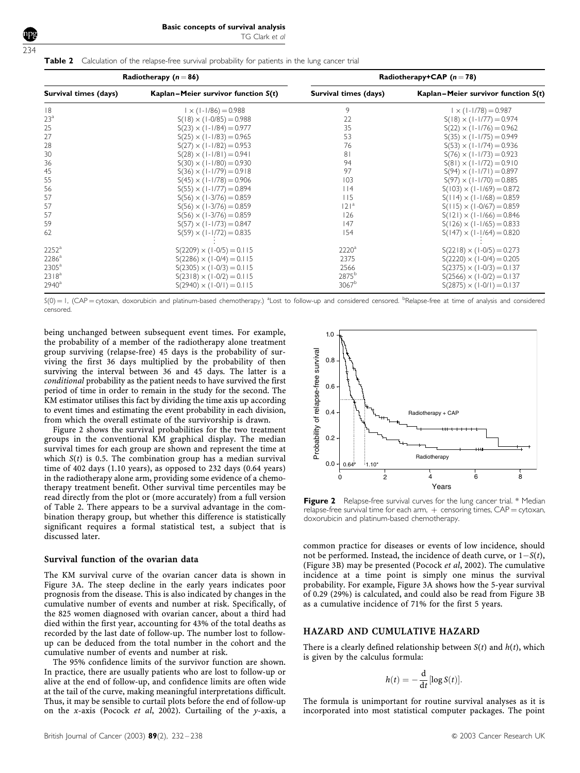Basic concepts of survival analysis

TG Clark et al

#### Table 2 Calculation of the relapse-free survival probability for patients in the lung cancer trial

|                       | Radiotherapy $(n=86)$                 | Radiotherapy+CAP $(n=78)$ |                                       |  |
|-----------------------|---------------------------------------|---------------------------|---------------------------------------|--|
| Survival times (days) | Kaplan-Meier survivor function $S(t)$ | Survival times (days)     | Kaplan-Meier survivor function $S(t)$ |  |
| 8                     | $1 \times (1 - 1/86) = 0.988$         | 9                         | $1 \times (1 - 1/78) = 0.987$         |  |
| $23^{\rm a}$          | $S(18) \times (1 - 0/85) = 0.988$     | 22                        | $S(18) \times (1-1/77) = 0.974$       |  |
| 25                    | $S(23) \times (1-1/84) = 0.977$       | 35                        | $S(22) \times (1-1/76) = 0.962$       |  |
| 27                    | $S(25) \times (1-1/83) = 0.965$       | 53                        | $S(35) \times (1-1/75) = 0.949$       |  |
| 28                    | $S(27) \times (1-1/82) = 0.953$       | 76                        | $S(53) \times (1-1/74) = 0.936$       |  |
| 30                    | $S(28) \times (1-1/81) = 0.941$       | 81                        | $S(76) \times (1-1/73) = 0.923$       |  |
| 36                    | $S(30) \times (1-1/80) = 0.930$       | 94                        | $S(81) \times (1-1/72) = 0.910$       |  |
| 45                    | $S(36) \times (1-1/79) = 0.918$       | 97                        | $S(94) \times (1-1/71) = 0.897$       |  |
| 55                    | $S(45) \times (1-1/78) = 0.906$       | 103                       | $S(97) \times (1 - 1/70) = 0.885$     |  |
| 56                    | $S(55) \times (1-1/77) = 0.894$       | $ $  4                    | $S(103) \times (1-1/69) = 0.872$      |  |
| 57                    | $S(56) \times (1-3/76) = 0.859$       | 115                       | $S(114) \times (1-1/68) = 0.859$      |  |
| 57                    | $S(56) \times (1-3/76) = 0.859$       | $ 2 ^a$                   | $S(115) \times (1-0/67) = 0.859$      |  |
| 57                    | $S(56) \times (1-3/76) = 0.859$       | 126                       | $S(121) \times (1-1/66) = 0.846$      |  |
| 59                    | $S(57) \times (1-1/73) = 0.847$       | 47                        | $S(126) \times (1-1/65) = 0.833$      |  |
| 62                    | $S(59) \times (1 - 1/72) = 0.835$     | 154                       | $S(147) \times (1-1/64) = 0.820$      |  |
| $2252^{\rm a}$        | $S(2209) \times (1-0/5) = 0.115$      | $2220^a$                  | $S(2218) \times (1-0/5) = 0.273$      |  |
| 2286 <sup>a</sup>     | $S(2286) \times (1-0/4) = 0.115$      | 2375                      | $S(2220) \times (1 - 0/4) = 0.205$    |  |
| $2305^a$              | $S(2305) \times (1-0/3) = 0.115$      | 2566                      | $S(2375) \times (1-0/3) = 0.137$      |  |
| $2318^a$              | $S(2318) \times (1-0/2) = 0.115$      | 2875 <sup>b</sup>         | $S(2566) \times (1-0/2) = 0.137$      |  |
| $2940^{\rm a}$        | $S(2940) \times (1-0/1) = 0.115$      | 3067 <sup>b</sup>         | $S(2875) \times (1 - 0/1) = 0.137$    |  |

S(0) = I, (CAP = cytoxan, doxorubicin and platinum-based chemotherapy.) <sup>a</sup> Lost to follow-up and considered censored. <sup>b</sup>Relapse-free at time of analysis and considered censored.

being unchanged between subsequent event times. For example, the probability of a member of the radiotherapy alone treatment group surviving (relapse-free) 45 days is the probability of surviving the first 36 days multiplied by the probability of then surviving the interval between 36 and 45 days. The latter is a conditional probability as the patient needs to have survived the first period of time in order to remain in the study for the second. The KM estimator utilises this fact by dividing the time axis up according to event times and estimating the event probability in each division, from which the overall estimate of the survivorship is drawn.

Figure 2 shows the survival probabilities for the two treatment groups in the conventional KM graphical display. The median survival times for each group are shown and represent the time at which  $S(t)$  is 0.5. The combination group has a median survival time of 402 days (1.10 years), as opposed to 232 days (0.64 years) in the radiotherapy alone arm, providing some evidence of a chemotherapy treatment benefit. Other survival time percentiles may be read directly from the plot or (more accurately) from a full version of Table 2. There appears to be a survival advantage in the combination therapy group, but whether this difference is statistically significant requires a formal statistical test, a subject that is discussed later.

#### Survival function of the ovarian data

The KM survival curve of the ovarian cancer data is shown in Figure 3A. The steep decline in the early years indicates poor prognosis from the disease. This is also indicated by changes in the cumulative number of events and number at risk. Specifically, of the 825 women diagnosed with ovarian cancer, about a third had died within the first year, accounting for 43% of the total deaths as recorded by the last date of follow-up. The number lost to followup can be deduced from the total number in the cohort and the cumulative number of events and number at risk.

The 95% confidence limits of the survivor function are shown. In practice, there are usually patients who are lost to follow-up or alive at the end of follow-up, and confidence limits are often wide at the tail of the curve, making meaningful interpretations difficult. Thus, it may be sensible to curtail plots before the end of follow-up on the x-axis (Pocock et al, 2002). Curtailing of the y-axis, a



Figure 2 Relapse-free survival curves for the lung cancer trial. \* Median relapse-free survival time for each arm,  $+$  censoring times, CAP = cytoxan, doxorubicin and platinum-based chemotherapy.

common practice for diseases or events of low incidence, should not be performed. Instead, the incidence of death curve, or  $1-S(t)$ , (Figure 3B) may be presented (Pocock et al, 2002). The cumulative incidence at a time point is simply one minus the survival probability. For example, Figure 3A shows how the 5-year survival of 0.29 (29%) is calculated, and could also be read from Figure 3B as a cumulative incidence of 71% for the first 5 years.

## HAZARD AND CUMULATIVE HAZARD

There is a clearly defined relationship between  $S(t)$  and  $h(t)$ , which is given by the calculus formula:

$$
h(t) = -\frac{\mathrm{d}}{\mathrm{d}t}[\log S(t)].
$$

The formula is unimportant for routine survival analyses as it is incorporated into most statistical computer packages. The point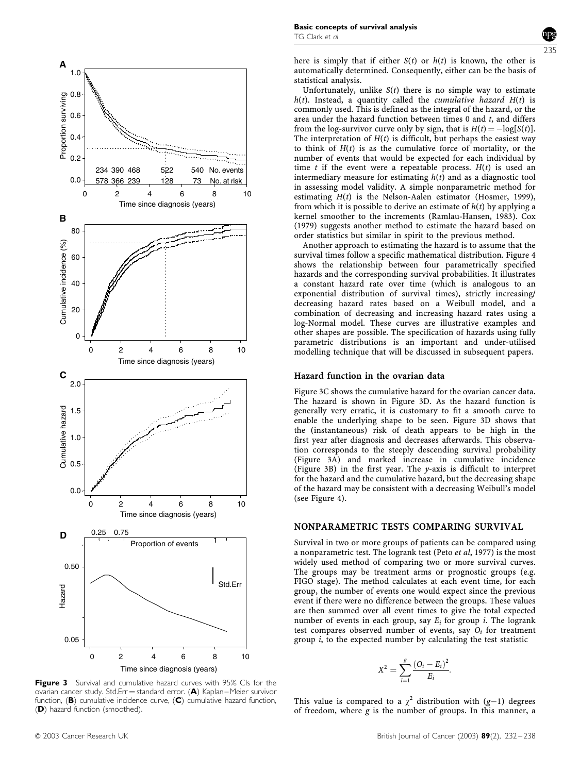

235

here is simply that if either  $S(t)$  or  $h(t)$  is known, the other is automatically determined. Consequently, either can be the basis of statistical analysis.

Unfortunately, unlike  $S(t)$  there is no simple way to estimate  $h(t)$ . Instead, a quantity called the *cumulative hazard*  $H(t)$  is commonly used. This is defined as the integral of the hazard, or the area under the hazard function between times 0 and t, and differs from the log-survivor curve only by sign, that is  $H(t) = -\log[S(t)]$ . The interpretation of  $H(t)$  is difficult, but perhaps the easiest way to think of  $H(t)$  is as the cumulative force of mortality, or the number of events that would be expected for each individual by time t if the event were a repeatable process.  $H(t)$  is used an intermediary measure for estimating  $h(t)$  and as a diagnostic tool in assessing model validity. A simple nonparametric method for estimating  $H(t)$  is the Nelson-Aalen estimator (Hosmer, 1999), from which it is possible to derive an estimate of  $h(t)$  by applying a kernel smoother to the increments (Ramlau-Hansen, 1983). Cox (1979) suggests another method to estimate the hazard based on order statistics but similar in spirit to the previous method.

Another approach to estimating the hazard is to assume that the survival times follow a specific mathematical distribution. Figure 4 shows the relationship between four parametrically specified hazards and the corresponding survival probabilities. It illustrates a constant hazard rate over time (which is analogous to an exponential distribution of survival times), strictly increasing/ decreasing hazard rates based on a Weibull model, and a combination of decreasing and increasing hazard rates using a log-Normal model. These curves are illustrative examples and other shapes are possible. The specification of hazards using fully parametric distributions is an important and under-utilised modelling technique that will be discussed in subsequent papers.

#### Hazard function in the ovarian data

Figure 3C shows the cumulative hazard for the ovarian cancer data. The hazard is shown in Figure 3D. As the hazard function is generally very erratic, it is customary to fit a smooth curve to enable the underlying shape to be seen. Figure 3D shows that the (instantaneous) risk of death appears to be high in the first year after diagnosis and decreases afterwards. This observation corresponds to the steeply descending survival probability (Figure 3A) and marked increase in cumulative incidence (Figure 3B) in the first year. The y-axis is difficult to interpret for the hazard and the cumulative hazard, but the decreasing shape of the hazard may be consistent with a decreasing Weibull's model (see Figure 4).

# NONPARAMETRIC TESTS COMPARING SURVIVAL

Survival in two or more groups of patients can be compared using a nonparametric test. The logrank test (Peto et al, 1977) is the most widely used method of comparing two or more survival curves. The groups may be treatment arms or prognostic groups (e.g. FIGO stage). The method calculates at each event time, for each group, the number of events one would expect since the previous event if there were no difference between the groups. These values are then summed over all event times to give the total expected number of events in each group, say  $E_i$  for group *i*. The logrank test compares observed number of events, say  $O_i$  for treatment group  $i$ , to the expected number by calculating the test statistic

$$
X^{2} = \sum_{i=1}^{g} \frac{(O_{i} - E_{i})^{2}}{E_{i}}.
$$

**Figure 3** Survival and cumulative hazard curves with 95% CIs for the ovarian cancer study. Std.Err = standard error. (A) Kaplan–Meier survivor function,  $(B)$  cumulative incidence curve,  $(C)$  cumulative hazard function, (D) hazard function (smoothed).

This value is compared to a  $\chi^2$  distribution with (g-1) degrees of freedom, where  $g$  is the number of groups. In this manner, a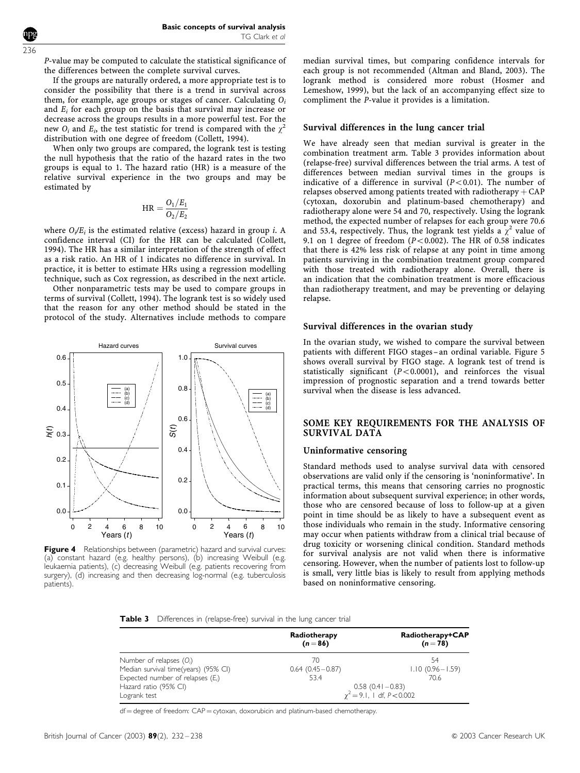P-value may be computed to calculate the statistical significance of the differences between the complete survival curves.

If the groups are naturally ordered, a more appropriate test is to consider the possibility that there is a trend in survival across them, for example, age groups or stages of cancer. Calculating  $O_i$ and  $E_i$  for each group on the basis that survival may increase or decrease across the groups results in a more powerful test. For the new O<sub>i</sub> and  $E_i$ , the test statistic for trend is compared with the  $\gamma^2$ distribution with one degree of freedom (Collett, 1994).

When only two groups are compared, the logrank test is testing the null hypothesis that the ratio of the hazard rates in the two groups is equal to 1. The hazard ratio (HR) is a measure of the relative survival experience in the two groups and may be estimated by

$$
\text{HR}=\frac{O_1/E_1}{O_2/E_2}
$$

where  $O_i/E_i$  is the estimated relative (excess) hazard in group *i*. A confidence interval (CI) for the HR can be calculated (Collett, 1994). The HR has a similar interpretation of the strength of effect as a risk ratio. An HR of 1 indicates no difference in survival. In practice, it is better to estimate HRs using a regression modelling technique, such as Cox regression, as described in the next article.

Other nonparametric tests may be used to compare groups in terms of survival (Collett, 1994). The logrank test is so widely used that the reason for any other method should be stated in the protocol of the study. Alternatives include methods to compare



Figure 4 Relationships between (parametric) hazard and survival curves: (a) constant hazard (e.g. healthy persons), (b) increasing Weibull (e.g. leukaemia patients), (c) decreasing Weibull (e.g. patients recovering from surgery), (d) increasing and then decreasing log-normal (e.g. tuberculosis patients).

median survival times, but comparing confidence intervals for each group is not recommended (Altman and Bland, 2003). The logrank method is considered more robust (Hosmer and Lemeshow, 1999), but the lack of an accompanying effect size to compliment the P-value it provides is a limitation.

#### Survival differences in the lung cancer trial

We have already seen that median survival is greater in the combination treatment arm. Table 3 provides information about (relapse-free) survival differences between the trial arms. A test of differences between median survival times in the groups is indicative of a difference in survival  $(P<0.01)$ . The number of relapses observed among patients treated with radiotherapy  $+$  CAP (cytoxan, doxorubin and platinum-based chemotherapy) and radiotherapy alone were 54 and 70, respectively. Using the logrank method, the expected number of relapses for each group were 70.6 and 53.4, respectively. Thus, the logrank test yields a  $\chi^2$  value of 9.1 on 1 degree of freedom  $(P< 0.002)$ . The HR of 0.58 indicates that there is 42% less risk of relapse at any point in time among patients surviving in the combination treatment group compared with those treated with radiotherapy alone. Overall, there is an indication that the combination treatment is more efficacious than radiotherapy treatment, and may be preventing or delaying relapse.

#### Survival differences in the ovarian study

In the ovarian study, we wished to compare the survival between patients with different FIGO stages– an ordinal variable. Figure 5 shows overall survival by FIGO stage. A logrank test of trend is statistically significant  $(P<0.0001)$ , and reinforces the visual impression of prognostic separation and a trend towards better survival when the disease is less advanced.

# SOME KEY REQUIREMENTS FOR THE ANALYSIS OF SURVIVAL DATA

#### Uninformative censoring

Standard methods used to analyse survival data with censored observations are valid only if the censoring is 'noninformative'. In practical terms, this means that censoring carries no prognostic information about subsequent survival experience; in other words, those who are censored because of loss to follow-up at a given point in time should be as likely to have a subsequent event as those individuals who remain in the study. Informative censoring may occur when patients withdraw from a clinical trial because of drug toxicity or worsening clinical condition. Standard methods for survival analysis are not valid when there is informative censoring. However, when the number of patients lost to follow-up is small, very little bias is likely to result from applying methods based on noninformative censoring.

|  |  |  |  | <b>Table 3</b> Differences in (relapse-free) survival in the lung cancer trial |
|--|--|--|--|--------------------------------------------------------------------------------|
|--|--|--|--|--------------------------------------------------------------------------------|

|                                       | Radiotherapy<br>$(n = 86)$                             | Radiotherapy+CAP<br>$(n=78)$ |
|---------------------------------------|--------------------------------------------------------|------------------------------|
| Number of relapses $(O_i)$            | 70                                                     | 54                           |
| Median survival time(years) (95% CI)  | $0.64(0.45 - 0.87)$                                    | $1.10(0.96 - 1.59)$          |
| Expected number of relapses $(E_i)$   | 53.4                                                   | 70.6                         |
| Hazard ratio (95% CI)<br>Logrank test | $0.58(0.41 - 0.83)$<br>$\chi^2$ = 9.1, 1 df, P < 0.002 |                              |

 $df =$  degree of freedom:  $CAP =$  cytoxan, doxorubicin and platinum-based chemotherapy.

236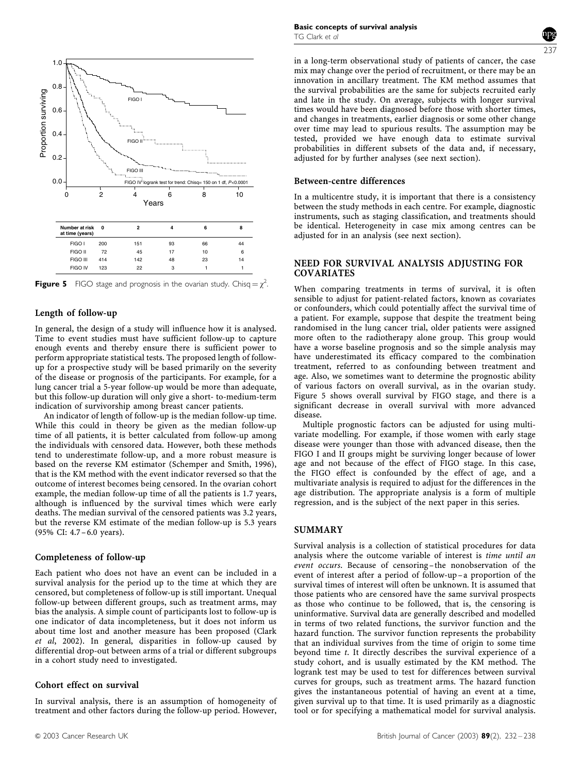

**Figure 5** FIGO stage and prognosis in the ovarian study. Chisq =  $\chi^2$ . .

## Length of follow-up

In general, the design of a study will influence how it is analysed. Time to event studies must have sufficient follow-up to capture enough events and thereby ensure there is sufficient power to perform appropriate statistical tests. The proposed length of followup for a prospective study will be based primarily on the severity of the disease or prognosis of the participants. For example, for a lung cancer trial a 5-year follow-up would be more than adequate, but this follow-up duration will only give a short- to-medium-term indication of survivorship among breast cancer patients.

An indicator of length of follow-up is the median follow-up time. While this could in theory be given as the median follow-up time of all patients, it is better calculated from follow-up among the individuals with censored data. However, both these methods tend to underestimate follow-up, and a more robust measure is based on the reverse KM estimator (Schemper and Smith, 1996), that is the KM method with the event indicator reversed so that the outcome of interest becomes being censored. In the ovarian cohort example, the median follow-up time of all the patients is 1.7 years, although is influenced by the survival times which were early deaths. The median survival of the censored patients was 3.2 years, but the reverse KM estimate of the median follow-up is 5.3 years (95% CI: 4.7 – 6.0 years).

#### Completeness of follow-up

Each patient who does not have an event can be included in a survival analysis for the period up to the time at which they are censored, but completeness of follow-up is still important. Unequal follow-up between different groups, such as treatment arms, may bias the analysis. A simple count of participants lost to follow-up is one indicator of data incompleteness, but it does not inform us about time lost and another measure has been proposed (Clark et al, 2002). In general, disparities in follow-up caused by differential drop-out between arms of a trial or different subgroups in a cohort study need to investigated.

# Cohort effect on survival

In survival analysis, there is an assumption of homogeneity of treatment and other factors during the follow-up period. However,



in a long-term observational study of patients of cancer, the case mix may change over the period of recruitment, or there may be an innovation in ancillary treatment. The KM method assumes that the survival probabilities are the same for subjects recruited early and late in the study. On average, subjects with longer survival times would have been diagnosed before those with shorter times, and changes in treatments, earlier diagnosis or some other change over time may lead to spurious results. The assumption may be tested, provided we have enough data to estimate survival probabilities in different subsets of the data and, if necessary, adjusted for by further analyses (see next section).

# Between-centre differences

In a multicentre study, it is important that there is a consistency between the study methods in each centre. For example, diagnostic instruments, such as staging classification, and treatments should be identical. Heterogeneity in case mix among centres can be adjusted for in an analysis (see next section).

# NEED FOR SURVIVAL ANALYSIS ADJUSTING FOR **COVARIATES**

When comparing treatments in terms of survival, it is often sensible to adjust for patient-related factors, known as covariates or confounders, which could potentially affect the survival time of a patient. For example, suppose that despite the treatment being randomised in the lung cancer trial, older patients were assigned more often to the radiotherapy alone group. This group would have a worse baseline prognosis and so the simple analysis may have underestimated its efficacy compared to the combination treatment, referred to as confounding between treatment and age. Also, we sometimes want to determine the prognostic ability of various factors on overall survival, as in the ovarian study. Figure 5 shows overall survival by FIGO stage, and there is a significant decrease in overall survival with more advanced disease.

Multiple prognostic factors can be adjusted for using multivariate modelling. For example, if those women with early stage disease were younger than those with advanced disease, then the FIGO I and II groups might be surviving longer because of lower age and not because of the effect of FIGO stage. In this case, the FIGO effect is confounded by the effect of age, and a multivariate analysis is required to adjust for the differences in the age distribution. The appropriate analysis is a form of multiple regression, and is the subject of the next paper in this series.

## SUMMARY

Survival analysis is a collection of statistical procedures for data analysis where the outcome variable of interest is time until an event occurs. Because of censoring-the nonobservation of the event of interest after a period of follow-up – a proportion of the survival times of interest will often be unknown. It is assumed that those patients who are censored have the same survival prospects as those who continue to be followed, that is, the censoring is uninformative. Survival data are generally described and modelled in terms of two related functions, the survivor function and the hazard function. The survivor function represents the probability that an individual survives from the time of origin to some time beyond time t. It directly describes the survival experience of a study cohort, and is usually estimated by the KM method. The logrank test may be used to test for differences between survival curves for groups, such as treatment arms. The hazard function gives the instantaneous potential of having an event at a time, given survival up to that time. It is used primarily as a diagnostic tool or for specifying a mathematical model for survival analysis.